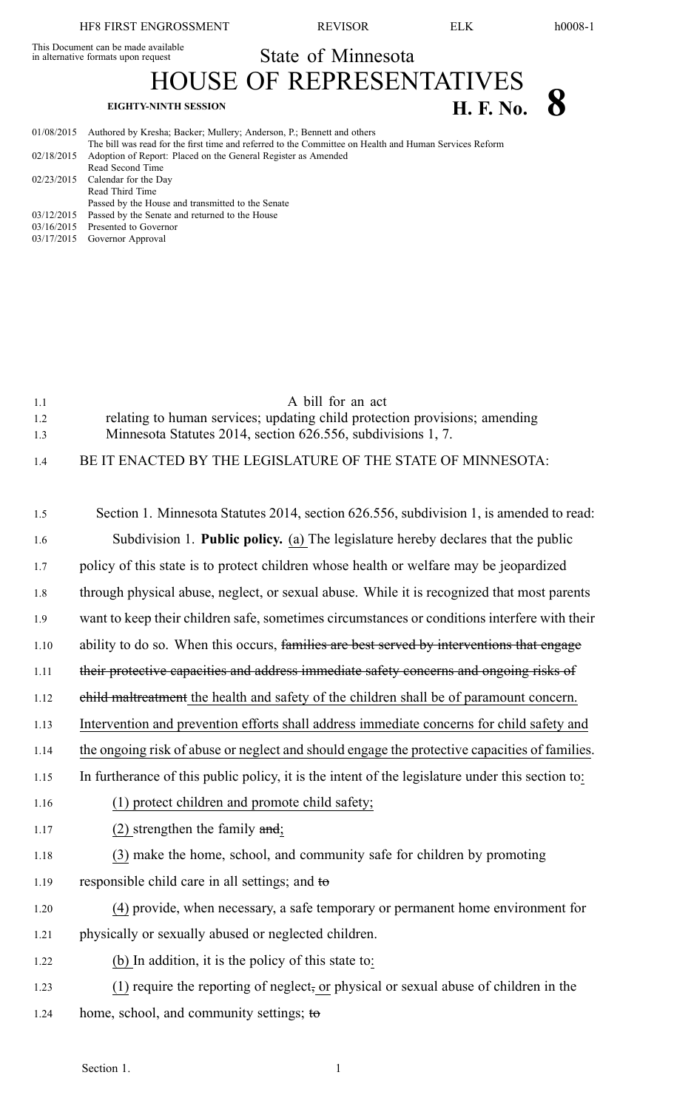This Document can be made available

State of Minnesota HOUSE OF REPRESENTATIVES

## **EIGHTY-NINTH SESSION H. F. No. 8**

| 01/08/2015 | Authored by Kresha; Backer; Mullery; Anderson, P.; Bennett and others                                  |
|------------|--------------------------------------------------------------------------------------------------------|
|            | The bill was read for the first time and referred to the Committee on Health and Human Services Reform |
| 02/18/2015 | Adoption of Report: Placed on the General Register as Amended                                          |
|            | Read Second Time                                                                                       |
|            | 02/23/2015 Calendar for the Day                                                                        |
|            | Read Third Time                                                                                        |
|            | Passed by the House and transmitted to the Senate                                                      |
| 03/12/2015 | Passed by the Senate and returned to the House                                                         |
|            | $03/16/2015$ Presented to Governor                                                                     |

03/17/2015 Governor Approval

| 1.1 | A bill for an act                                                          |
|-----|----------------------------------------------------------------------------|
| 1.2 | relating to human services; updating child protection provisions; amending |
| 1.3 | Minnesota Statutes 2014, section 626.556, subdivisions 1, 7.               |

1.4 BE IT ENACTED BY THE LEGISLATURE OF THE STATE OF MINNESOTA:

| 1.5  | Section 1. Minnesota Statutes 2014, section 626.556, subdivision 1, is amended to read:          |
|------|--------------------------------------------------------------------------------------------------|
| 1.6  | Subdivision 1. Public policy. (a) The legislature hereby declares that the public                |
| 1.7  | policy of this state is to protect children whose health or welfare may be jeopardized           |
| 1.8  | through physical abuse, neglect, or sexual abuse. While it is recognized that most parents       |
| 1.9  | want to keep their children safe, sometimes circumstances or conditions interfere with their     |
| 1.10 | ability to do so. When this occurs, families are best served by interventions that engage        |
| 1.11 | their protective capacities and address immediate safety concerns and ongoing risks of           |
| 1.12 | ehild maltreatment the health and safety of the children shall be of paramount concern.          |
| 1.13 | Intervention and prevention efforts shall address immediate concerns for child safety and        |
| 1.14 | the ongoing risk of abuse or neglect and should engage the protective capacities of families.    |
| 1.15 | In furtherance of this public policy, it is the intent of the legislature under this section to: |
| 1.16 | (1) protect children and promote child safety;                                                   |
| 1.17 | $(2)$ strengthen the family and;                                                                 |
| 1.18 | (3) make the home, school, and community safe for children by promoting                          |
| 1.19 | responsible child care in all settings; and to                                                   |
| 1.20 | (4) provide, when necessary, a safe temporary or permanent home environment for                  |
| 1.21 | physically or sexually abused or neglected children.                                             |
| 1.22 | (b) In addition, it is the policy of this state to:                                              |
| 1.23 | (1) require the reporting of neglect, or physical or sexual abuse of children in the             |
| 1.24 | home, school, and community settings; to                                                         |
|      |                                                                                                  |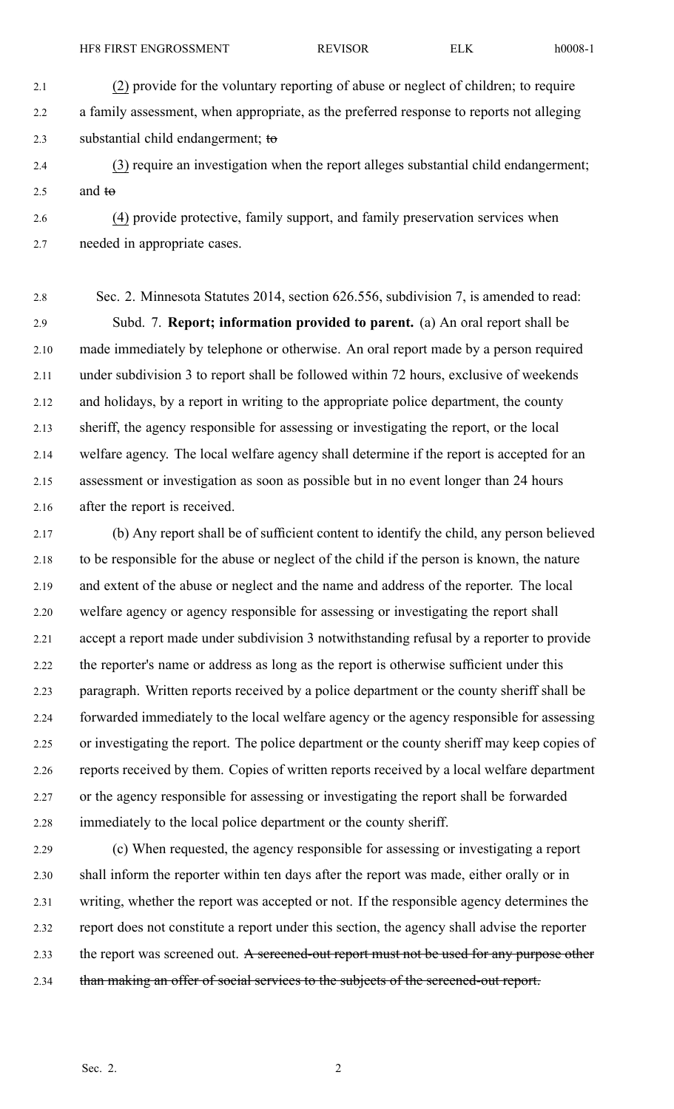2.4 (3) require an investigation when the repor<sup>t</sup> alleges substantial child endangerment; 2.5 and  $t\Theta$ 

2.6 (4) provide protective, family support, and family preservation services when 2.7 needed in appropriate cases.

2.8 Sec. 2. Minnesota Statutes 2014, section 626.556, subdivision 7, is amended to read: 2.9 Subd. 7. **Report; information provided to parent.** (a) An oral repor<sup>t</sup> shall be 2.10 made immediately by telephone or otherwise. An oral repor<sup>t</sup> made by <sup>a</sup> person required 2.11 under subdivision 3 to repor<sup>t</sup> shall be followed within 72 hours, exclusive of weekends 2.12 and holidays, by <sup>a</sup> repor<sup>t</sup> in writing to the appropriate police department, the county 2.13 sheriff, the agency responsible for assessing or investigating the report, or the local 2.14 welfare agency. The local welfare agency shall determine if the repor<sup>t</sup> is accepted for an 2.15 assessment or investigation as soon as possible but in no event longer than 24 hours 2.16 after the repor<sup>t</sup> is received.

2.17 (b) Any repor<sup>t</sup> shall be of sufficient content to identify the child, any person believed 2.18 to be responsible for the abuse or neglect of the child if the person is known, the nature 2.19 and extent of the abuse or neglect and the name and address of the reporter. The local 2.20 welfare agency or agency responsible for assessing or investigating the repor<sup>t</sup> shall 2.21 accep<sup>t</sup> <sup>a</sup> repor<sup>t</sup> made under subdivision 3 notwithstanding refusal by <sup>a</sup> reporter to provide 2.22 the reporter's name or address as long as the repor<sup>t</sup> is otherwise sufficient under this 2.23 paragraph. Written reports received by <sup>a</sup> police department or the county sheriff shall be 2.24 forwarded immediately to the local welfare agency or the agency responsible for assessing 2.25 or investigating the report. The police department or the county sheriff may keep copies of 2.26 reports received by them. Copies of written reports received by <sup>a</sup> local welfare department 2.27 or the agency responsible for assessing or investigating the repor<sup>t</sup> shall be forwarded 2.28 immediately to the local police department or the county sheriff.

2.29 (c) When requested, the agency responsible for assessing or investigating <sup>a</sup> repor<sup>t</sup> 2.30 shall inform the reporter within ten days after the repor<sup>t</sup> was made, either orally or in 2.31 writing, whether the repor<sup>t</sup> was accepted or not. If the responsible agency determines the 2.32 repor<sup>t</sup> does not constitute <sup>a</sup> repor<sup>t</sup> under this section, the agency shall advise the reporter 2.33 the report was screened out. A sereened-out report must not be used for any purpose other 2.34 than making an offer of social services to the subjects of the sereened-out report.